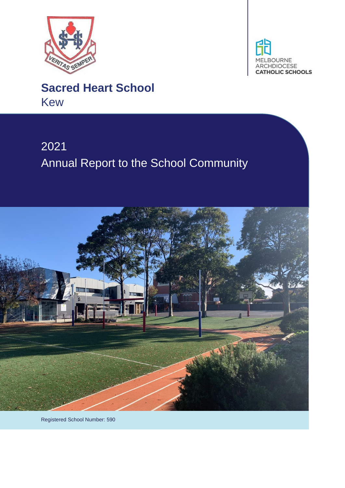



# **Sacred Heart School** Kew

# 2021 Annual Report to the School Community



Registered School Number: 590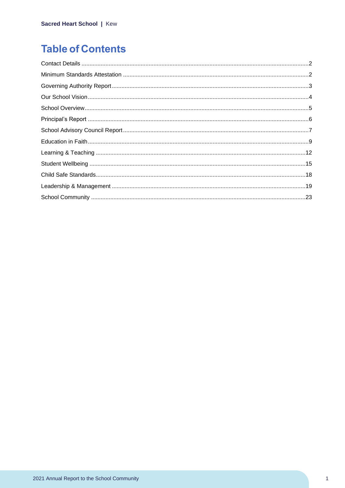# **Table of Contents**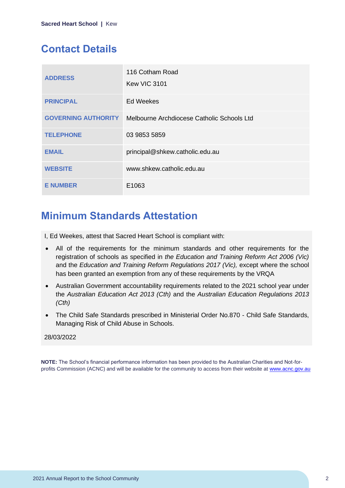# <span id="page-2-0"></span>**Contact Details**

| <b>ADDRESS</b>             | 116 Cotham Road<br><b>Kew VIC 3101</b>     |
|----------------------------|--------------------------------------------|
| <b>PRINCIPAL</b>           | <b>Ed Weekes</b>                           |
| <b>GOVERNING AUTHORITY</b> | Melbourne Archdiocese Catholic Schools Ltd |
| <b>TELEPHONE</b>           | 03 9853 5859                               |
| <b>EMAIL</b>               | principal@shkew.catholic.edu.au            |
| <b>WEBSITE</b>             | www.shkew.catholic.edu.au                  |
| <b>E NUMBER</b>            | E1063                                      |

### <span id="page-2-1"></span>**Minimum Standards Attestation**

I, Ed Weekes, attest that Sacred Heart School is compliant with:

- All of the requirements for the minimum standards and other requirements for the registration of schools as specified in *the Education and Training Reform Act 2006 (Vic)* and the *Education and Training Reform Regulations 2017 (Vic),* except where the school has been granted an exemption from any of these requirements by the VRQA
- Australian Government accountability requirements related to the 2021 school year under the *Australian Education Act 2013 (Cth)* and the *Australian Education Regulations 2013 (Cth)*
- The Child Safe Standards prescribed in Ministerial Order No.870 Child Safe Standards, Managing Risk of Child Abuse in Schools.

#### 28/03/2022

**NOTE:** The School's financial performance information has been provided to the Australian Charities and Not-forprofits Commission (ACNC) and will be available for the community to access from their website at [www.acnc.gov.au](http://www.acnc.gov.au/)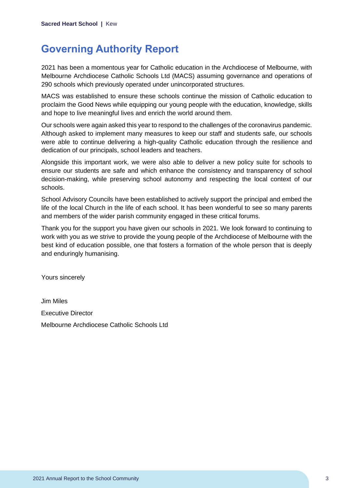### <span id="page-3-0"></span>**Governing Authority Report**

2021 has been a momentous year for Catholic education in the Archdiocese of Melbourne, with Melbourne Archdiocese Catholic Schools Ltd (MACS) assuming governance and operations of 290 schools which previously operated under unincorporated structures.

MACS was established to ensure these schools continue the mission of Catholic education to proclaim the Good News while equipping our young people with the education, knowledge, skills and hope to live meaningful lives and enrich the world around them.

Our schools were again asked this year to respond to the challenges of the coronavirus pandemic. Although asked to implement many measures to keep our staff and students safe, our schools were able to continue delivering a high-quality Catholic education through the resilience and dedication of our principals, school leaders and teachers.

Alongside this important work, we were also able to deliver a new policy suite for schools to ensure our students are safe and which enhance the consistency and transparency of school decision-making, while preserving school autonomy and respecting the local context of our schools.

School Advisory Councils have been established to actively support the principal and embed the life of the local Church in the life of each school. It has been wonderful to see so many parents and members of the wider parish community engaged in these critical forums.

Thank you for the support you have given our schools in 2021. We look forward to continuing to work with you as we strive to provide the young people of the Archdiocese of Melbourne with the best kind of education possible, one that fosters a formation of the whole person that is deeply and enduringly humanising.

Yours sincerely

Jim Miles Executive Director Melbourne Archdiocese Catholic Schools Ltd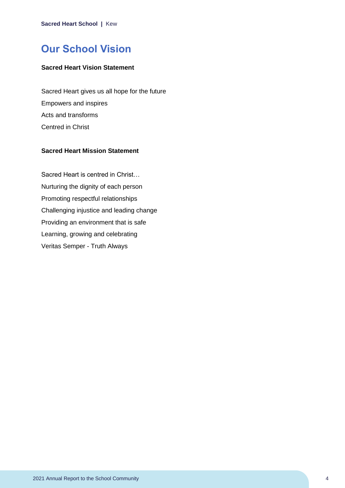### <span id="page-4-0"></span>**Our School Vision**

### **Sacred Heart Vision Statement**

Sacred Heart gives us all hope for the future Empowers and inspires Acts and transforms Centred in Christ

### **Sacred Heart Mission Statement**

Sacred Heart is centred in Christ… Nurturing the dignity of each person Promoting respectful relationships Challenging injustice and leading change Providing an environment that is safe Learning, growing and celebrating Veritas Semper - Truth Always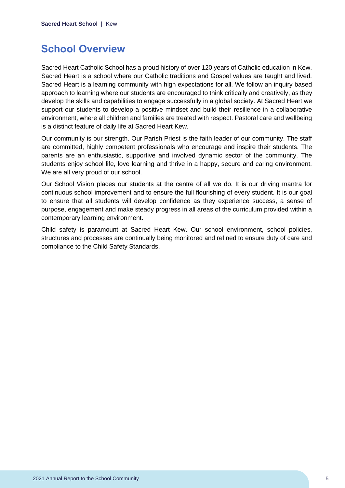### <span id="page-5-0"></span>**School Overview**

Sacred Heart Catholic School has a proud history of over 120 years of Catholic education in Kew. Sacred Heart is a school where our Catholic traditions and Gospel values are taught and lived. Sacred Heart is a learning community with high expectations for all. We follow an inquiry based approach to learning where our students are encouraged to think critically and creatively, as they develop the skills and capabilities to engage successfully in a global society. At Sacred Heart we support our students to develop a positive mindset and build their resilience in a collaborative environment, where all children and families are treated with respect. Pastoral care and wellbeing is a distinct feature of daily life at Sacred Heart Kew.

Our community is our strength. Our Parish Priest is the faith leader of our community. The staff are committed, highly competent professionals who encourage and inspire their students. The parents are an enthusiastic, supportive and involved dynamic sector of the community. The students enjoy school life, love learning and thrive in a happy, secure and caring environment. We are all very proud of our school.

Our School Vision places our students at the centre of all we do. It is our driving mantra for continuous school improvement and to ensure the full flourishing of every student. It is our goal to ensure that all students will develop confidence as they experience success, a sense of purpose, engagement and make steady progress in all areas of the curriculum provided within a contemporary learning environment.

Child safety is paramount at Sacred Heart Kew. Our school environment, school policies, structures and processes are continually being monitored and refined to ensure duty of care and compliance to the Child Safety Standards.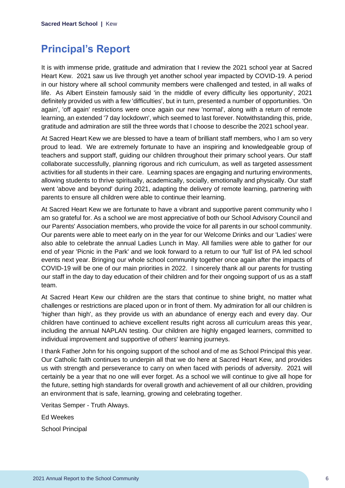### <span id="page-6-0"></span>**Principal's Report**

It is with immense pride, gratitude and admiration that I review the 2021 school year at Sacred Heart Kew. 2021 saw us live through yet another school year impacted by COVID-19. A period in our history where all school community members were challenged and tested, in all walks of life. As Albert Einstein famously said 'in the middle of every difficulty lies opportunity', 2021 definitely provided us with a few 'difficulties', but in turn, presented a number of opportunities. 'On again', 'off again' restrictions were once again our new 'normal', along with a return of remote learning, an extended '7 day lockdown', which seemed to last forever. Notwithstanding this, pride, gratitude and admiration are still the three words that I choose to describe the 2021 school year.

At Sacred Heart Kew we are blessed to have a team of brilliant staff members, who I am so very proud to lead. We are extremely fortunate to have an inspiring and knowledgeable group of teachers and support staff, guiding our children throughout their primary school years. Our staff collaborate successfully, planning rigorous and rich curriculum, as well as targeted assessment activities for all students in their care. Learning spaces are engaging and nurturing environments, allowing students to thrive spiritually, academically, socially, emotionally and physically. Our staff went 'above and beyond' during 2021, adapting the delivery of remote learning, partnering with parents to ensure all children were able to continue their learning.

At Sacred Heart Kew we are fortunate to have a vibrant and supportive parent community who I am so grateful for. As a school we are most appreciative of both our School Advisory Council and our Parents' Association members, who provide the voice for all parents in our school community. Our parents were able to meet early on in the year for our Welcome Drinks and our 'Ladies' were also able to celebrate the annual Ladies Lunch in May. All families were able to gather for our end of year 'Picnic in the Park' and we look forward to a return to our 'full' list of PA led school events next year. Bringing our whole school community together once again after the impacts of COVID-19 will be one of our main priorities in 2022. I sincerely thank all our parents for trusting our staff in the day to day education of their children and for their ongoing support of us as a staff team.

At Sacred Heart Kew our children are the stars that continue to shine bright, no matter what challenges or restrictions are placed upon or in front of them. My admiration for all our children is 'higher than high', as they provide us with an abundance of energy each and every day. Our children have continued to achieve excellent results right across all curriculum areas this year, including the annual NAPLAN testing. Our children are highly engaged learners, committed to individual improvement and supportive of others' learning journeys.

I thank Father John for his ongoing support of the school and of me as School Principal this year. Our Catholic faith continues to underpin all that we do here at Sacred Heart Kew, and provides us with strength and perseverance to carry on when faced with periods of adversity. 2021 will certainly be a year that no one will ever forget. As a school we will continue to give all hope for the future, setting high standards for overall growth and achievement of all our children, providing an environment that is safe, learning, growing and celebrating together.

Veritas Semper - Truth Always.

Ed Weekes

School Principal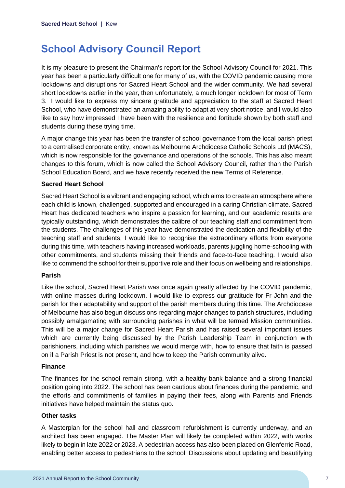# <span id="page-7-0"></span>**School Advisory Council Report**

It is my pleasure to present the Chairman's report for the School Advisory Council for 2021. This year has been a particularly difficult one for many of us, with the COVID pandemic causing more lockdowns and disruptions for Sacred Heart School and the wider community. We had several short lockdowns earlier in the year, then unfortunately, a much longer lockdown for most of Term 3. I would like to express my sincere gratitude and appreciation to the staff at Sacred Heart School, who have demonstrated an amazing ability to adapt at very short notice, and I would also like to say how impressed I have been with the resilience and fortitude shown by both staff and students during these trying time.

A major change this year has been the transfer of school governance from the local parish priest to a centralised corporate entity, known as Melbourne Archdiocese Catholic Schools Ltd (MACS), which is now responsible for the governance and operations of the schools. This has also meant changes to this forum, which is now called the School Advisory Council, rather than the Parish School Education Board, and we have recently received the new Terms of Reference.

### **Sacred Heart School**

Sacred Heart School is a vibrant and engaging school, which aims to create an atmosphere where each child is known, challenged, supported and encouraged in a caring Christian climate. Sacred Heart has dedicated teachers who inspire a passion for learning, and our academic results are typically outstanding, which demonstrates the calibre of our teaching staff and commitment from the students. The challenges of this year have demonstrated the dedication and flexibility of the teaching staff and students, I would like to recognise the extraordinary efforts from everyone during this time, with teachers having increased workloads, parents juggling home-schooling with other commitments, and students missing their friends and face-to-face teaching. I would also like to commend the school for their supportive role and their focus on wellbeing and relationships.

#### **Parish**

Like the school, Sacred Heart Parish was once again greatly affected by the COVID pandemic, with online masses during lockdown. I would like to express our gratitude for Fr John and the parish for their adaptability and support of the parish members during this time. The Archdiocese of Melbourne has also begun discussions regarding major changes to parish structures, including possibly amalgamating with surrounding parishes in what will be termed Mission communities. This will be a major change for Sacred Heart Parish and has raised several important issues which are currently being discussed by the Parish Leadership Team in conjunction with parishioners, including which parishes we would merge with, how to ensure that faith is passed on if a Parish Priest is not present, and how to keep the Parish community alive.

#### **Finance**

The finances for the school remain strong, with a healthy bank balance and a strong financial position going into 2022. The school has been cautious about finances during the pandemic, and the efforts and commitments of families in paying their fees, along with Parents and Friends initiatives have helped maintain the status quo.

#### **Other tasks**

A Masterplan for the school hall and classroom refurbishment is currently underway, and an architect has been engaged. The Master Plan will likely be completed within 2022, with works likely to begin in late 2022 or 2023. A pedestrian access has also been placed on Glenferrie Road, enabling better access to pedestrians to the school. Discussions about updating and beautifying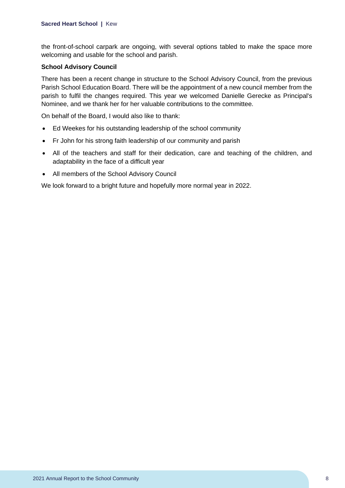the front-of-school carpark are ongoing, with several options tabled to make the space more welcoming and usable for the school and parish.

#### **School Advisory Council**

There has been a recent change in structure to the School Advisory Council, from the previous Parish School Education Board. There will be the appointment of a new council member from the parish to fulfil the changes required. This year we welcomed Danielle Gerecke as Principal's Nominee, and we thank her for her valuable contributions to the committee.

On behalf of the Board, I would also like to thank:

- Ed Weekes for his outstanding leadership of the school community
- Fr John for his strong faith leadership of our community and parish
- All of the teachers and staff for their dedication, care and teaching of the children, and adaptability in the face of a difficult year
- All members of the School Advisory Council

We look forward to a bright future and hopefully more normal year in 2022.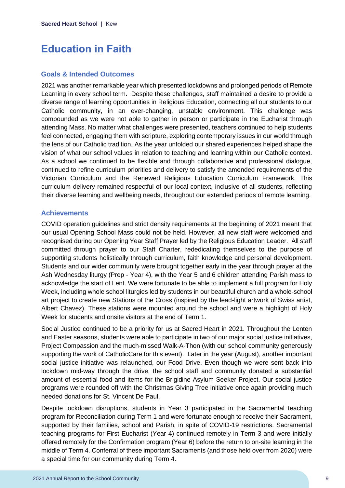### <span id="page-9-0"></span>**Education in Faith**

### **Goals & Intended Outcomes**

2021 was another remarkable year which presented lockdowns and prolonged periods of Remote Learning in every school term. Despite these challenges, staff maintained a desire to provide a diverse range of learning opportunities in Religious Education, connecting all our students to our Catholic community, in an ever-changing, unstable environment. This challenge was compounded as we were not able to gather in person or participate in the Eucharist through attending Mass. No matter what challenges were presented, teachers continued to help students feel connected, engaging them with scripture, exploring contemporary issues in our world through the lens of our Catholic tradition. As the year unfolded our shared experiences helped shape the vision of what our school values in relation to teaching and learning within our Catholic context. As a school we continued to be flexible and through collaborative and professional dialogue, continued to refine curriculum priorities and delivery to satisfy the amended requirements of the Victorian Curriculum and the Renewed Religious Education Curriculum Framework. This curriculum delivery remained respectful of our local context, inclusive of all students, reflecting their diverse learning and wellbeing needs, throughout our extended periods of remote learning.

### **Achievements**

COVID operation guidelines and strict density requirements at the beginning of 2021 meant that our usual Opening School Mass could not be held. However, all new staff were welcomed and recognised during our Opening Year Staff Prayer led by the Religious Education Leader. All staff committed through prayer to our Staff Charter, rededicating themselves to the purpose of supporting students holistically through curriculum, faith knowledge and personal development. Students and our wider community were brought together early in the year through prayer at the Ash Wednesday liturgy (Prep - Year 4), with the Year 5 and 6 children attending Parish mass to acknowledge the start of Lent. We were fortunate to be able to implement a full program for Holy Week, including whole school liturgies led by students in our beautiful church and a whole-school art project to create new Stations of the Cross (inspired by the lead-light artwork of Swiss artist, Albert Chavez). These stations were mounted around the school and were a highlight of Holy Week for students and onsite visitors at the end of Term 1.

Social Justice continued to be a priority for us at Sacred Heart in 2021. Throughout the Lenten and Easter seasons, students were able to participate in two of our major social justice initiatives, Project Compassion and the much-missed Walk-A-Thon (with our school community generously supporting the work of CatholicCare for this event). Later in the year (August), another important social justice initiative was relaunched, our Food Drive. Even though we were sent back into lockdown mid-way through the drive, the school staff and community donated a substantial amount of essential food and items for the Brigidine Asylum Seeker Project. Our social justice programs were rounded off with the Christmas Giving Tree initiative once again providing much needed donations for St. Vincent De Paul.

Despite lockdown disruptions, students in Year 3 participated in the Sacramental teaching program for Reconciliation during Term 1 and were fortunate enough to receive their Sacrament, supported by their families, school and Parish, in spite of COVID-19 restrictions. Sacramental teaching programs for First Eucharist (Year 4) continued remotely in Term 3 and were initially offered remotely for the Confirmation program (Year 6) before the return to on-site learning in the middle of Term 4. Conferral of these important Sacraments (and those held over from 2020) were a special time for our community during Term 4.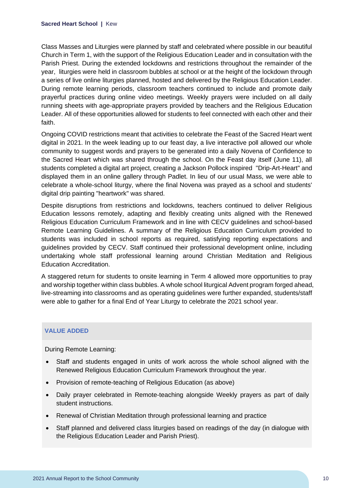Class Masses and Liturgies were planned by staff and celebrated where possible in our beautiful Church in Term 1, with the support of the Religious Education Leader and in consultation with the Parish Priest. During the extended lockdowns and restrictions throughout the remainder of the year, liturgies were held in classroom bubbles at school or at the height of the lockdown through a series of live online liturgies planned, hosted and delivered by the Religious Education Leader. During remote learning periods, classroom teachers continued to include and promote daily prayerful practices during online video meetings. Weekly prayers were included on all daily running sheets with age-appropriate prayers provided by teachers and the Religious Education Leader. All of these opportunities allowed for students to feel connected with each other and their faith.

Ongoing COVID restrictions meant that activities to celebrate the Feast of the Sacred Heart went digital in 2021. In the week leading up to our feast day, a live interactive poll allowed our whole community to suggest words and prayers to be generated into a daily Novena of Confidence to the Sacred Heart which was shared through the school. On the Feast day itself (June 11), all students completed a digital art project, creating a Jackson Pollock inspired "Drip-Art-Heart" and displayed them in an online gallery through Padlet. In lieu of our usual Mass, we were able to celebrate a whole-school liturgy, where the final Novena was prayed as a school and students' digital drip painting "heartwork" was shared.

Despite disruptions from restrictions and lockdowns, teachers continued to deliver Religious Education lessons remotely, adapting and flexibly creating units aligned with the Renewed Religious Education Curriculum Framework and in line with CECV guidelines and school-based Remote Learning Guidelines. A summary of the Religious Education Curriculum provided to students was included in school reports as required, satisfying reporting expectations and guidelines provided by CECV. Staff continued their professional development online, including undertaking whole staff professional learning around Christian Meditation and Religious Education Accreditation.

A staggered return for students to onsite learning in Term 4 allowed more opportunities to pray and worship together within class bubbles. A whole school liturgical Advent program forged ahead, live-streaming into classrooms and as operating guidelines were further expanded, students/staff were able to gather for a final End of Year Liturgy to celebrate the 2021 school year.

#### **VALUE ADDED**

During Remote Learning:

- Staff and students engaged in units of work across the whole school aligned with the Renewed Religious Education Curriculum Framework throughout the year.
- Provision of remote-teaching of Religious Education (as above)
- Daily prayer celebrated in Remote-teaching alongside Weekly prayers as part of daily student instructions.
- Renewal of Christian Meditation through professional learning and practice
- Staff planned and delivered class liturgies based on readings of the day (in dialogue with the Religious Education Leader and Parish Priest).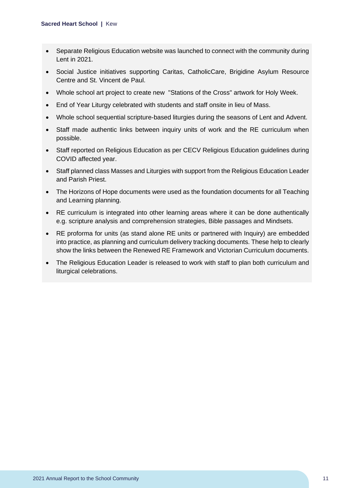- Separate Religious Education website was launched to connect with the community during Lent in 2021.
- Social Justice initiatives supporting Caritas, CatholicCare, Brigidine Asylum Resource Centre and St. Vincent de Paul.
- Whole school art project to create new "Stations of the Cross" artwork for Holy Week.
- End of Year Liturgy celebrated with students and staff onsite in lieu of Mass.
- Whole school sequential scripture-based liturgies during the seasons of Lent and Advent.
- Staff made authentic links between inquiry units of work and the RE curriculum when possible.
- Staff reported on Religious Education as per CECV Religious Education guidelines during COVID affected year.
- Staff planned class Masses and Liturgies with support from the Religious Education Leader and Parish Priest.
- The Horizons of Hope documents were used as the foundation documents for all Teaching and Learning planning.
- RE curriculum is integrated into other learning areas where it can be done authentically e.g. scripture analysis and comprehension strategies, Bible passages and Mindsets.
- RE proforma for units (as stand alone RE units or partnered with Inquiry) are embedded into practice, as planning and curriculum delivery tracking documents. These help to clearly show the links between the Renewed RE Framework and Victorian Curriculum documents.
- The Religious Education Leader is released to work with staff to plan both curriculum and liturgical celebrations.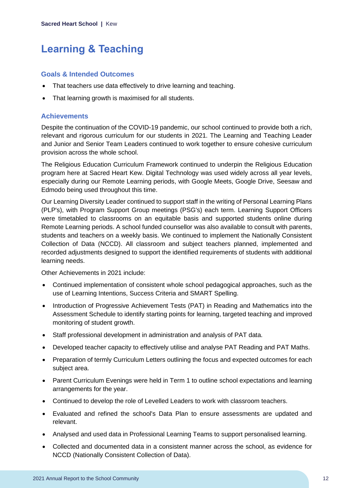# <span id="page-12-0"></span>**Learning & Teaching**

#### **Goals & Intended Outcomes**

- That teachers use data effectively to drive learning and teaching.
- That learning growth is maximised for all students.

### **Achievements**

Despite the continuation of the COVID-19 pandemic, our school continued to provide both a rich, relevant and rigorous curriculum for our students in 2021. The Learning and Teaching Leader and Junior and Senior Team Leaders continued to work together to ensure cohesive curriculum provision across the whole school.

The Religious Education Curriculum Framework continued to underpin the Religious Education program here at Sacred Heart Kew. Digital Technology was used widely across all year levels, especially during our Remote Learning periods, with Google Meets, Google Drive, Seesaw and Edmodo being used throughout this time.

Our Learning Diversity Leader continued to support staff in the writing of Personal Learning Plans (PLP's), with Program Support Group meetings (PSG's) each term. Learning Support Officers were timetabled to classrooms on an equitable basis and supported students online during Remote Learning periods. A school funded counsellor was also available to consult with parents, students and teachers on a weekly basis. We continued to implement the Nationally Consistent Collection of Data (NCCD). All classroom and subject teachers planned, implemented and recorded adjustments designed to support the identified requirements of students with additional learning needs.

Other Achievements in 2021 include:

- Continued implementation of consistent whole school pedagogical approaches, such as the use of Learning Intentions, Success Criteria and SMART Spelling.
- Introduction of Progressive Achievement Tests (PAT) in Reading and Mathematics into the Assessment Schedule to identify starting points for learning, targeted teaching and improved monitoring of student growth.
- Staff professional development in administration and analysis of PAT data.
- Developed teacher capacity to effectively utilise and analyse PAT Reading and PAT Maths.
- Preparation of termly Curriculum Letters outlining the focus and expected outcomes for each subject area.
- Parent Curriculum Evenings were held in Term 1 to outline school expectations and learning arrangements for the year.
- Continued to develop the role of Levelled Leaders to work with classroom teachers.
- Evaluated and refined the school's Data Plan to ensure assessments are updated and relevant.
- Analysed and used data in Professional Learning Teams to support personalised learning.
- Collected and documented data in a consistent manner across the school, as evidence for NCCD (Nationally Consistent Collection of Data).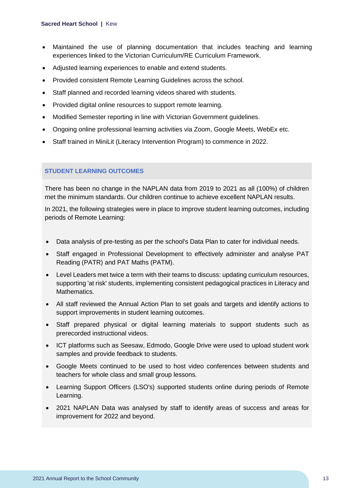- Maintained the use of planning documentation that includes teaching and learning experiences linked to the Victorian Curriculum/RE Curriculum Framework.
- Adjusted learning experiences to enable and extend students.
- Provided consistent Remote Learning Guidelines across the school.
- Staff planned and recorded learning videos shared with students.
- Provided digital online resources to support remote learning.
- Modified Semester reporting in line with Victorian Government guidelines.
- Ongoing online professional learning activities via Zoom, Google Meets, WebEx etc.
- Staff trained in MiniLit (Literacy Intervention Program) to commence in 2022.

### **STUDENT LEARNING OUTCOMES**

There has been no change in the NAPLAN data from 2019 to 2021 as all (100%) of children met the minimum standards. Our children continue to achieve excellent NAPLAN results.

In 2021, the following strategies were in place to improve student learning outcomes, including periods of Remote Learning:

- Data analysis of pre-testing as per the school's Data Plan to cater for individual needs.
- Staff engaged in Professional Development to effectively administer and analyse PAT Reading (PATR) and PAT Maths (PATM).
- Level Leaders met twice a term with their teams to discuss: updating curriculum resources, supporting 'at risk' students, implementing consistent pedagogical practices in Literacy and Mathematics.
- All staff reviewed the Annual Action Plan to set goals and targets and identify actions to support improvements in student learning outcomes.
- Staff prepared physical or digital learning materials to support students such as prerecorded instructional videos.
- ICT platforms such as Seesaw, Edmodo, Google Drive were used to upload student work samples and provide feedback to students.
- Google Meets continued to be used to host video conferences between students and teachers for whole class and small group lessons.
- Learning Support Officers (LSO's) supported students online during periods of Remote Learning.
- 2021 NAPLAN Data was analysed by staff to identify areas of success and areas for improvement for 2022 and beyond.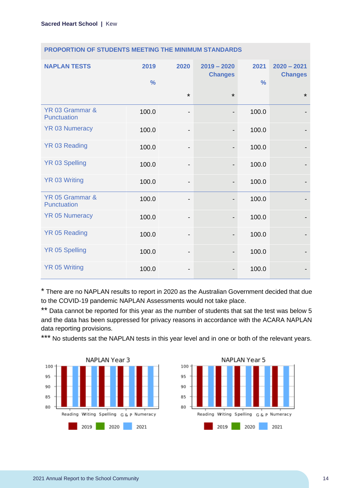| <b>NAPLAN TESTS</b>            | 2019<br>$\frac{0}{0}$ | 2020                         | $2019 - 2020$<br><b>Changes</b> | 2021<br>$\frac{0}{0}$ | $2020 - 2021$<br><b>Changes</b> |
|--------------------------------|-----------------------|------------------------------|---------------------------------|-----------------------|---------------------------------|
|                                |                       | $\star$                      | $\star$                         |                       | $\star$                         |
| YR 03 Grammar &<br>Punctuation | 100.0                 | $\qquad \qquad \blacksquare$ | $\overline{\phantom{a}}$        | 100.0                 |                                 |
| <b>YR 03 Numeracy</b>          | 100.0                 | $\qquad \qquad \blacksquare$ |                                 | 100.0                 |                                 |
| <b>YR 03 Reading</b>           | 100.0                 | $\overline{\phantom{0}}$     |                                 | 100.0                 |                                 |
| <b>YR 03 Spelling</b>          | 100.0                 | $\qquad \qquad \blacksquare$ |                                 | 100.0                 |                                 |
| <b>YR 03 Writing</b>           | 100.0                 | $\overline{\phantom{0}}$     | $\qquad \qquad \blacksquare$    | 100.0                 |                                 |
| YR 05 Grammar &<br>Punctuation | 100.0                 | -                            |                                 | 100.0                 |                                 |
| <b>YR 05 Numeracy</b>          | 100.0                 | $\overline{\phantom{0}}$     |                                 | 100.0                 |                                 |
| <b>YR 05 Reading</b>           | 100.0                 | $\qquad \qquad \blacksquare$ | $\overline{\phantom{a}}$        | 100.0                 |                                 |
| <b>YR 05 Spelling</b>          | 100.0                 | -                            |                                 | 100.0                 |                                 |
| <b>YR 05 Writing</b>           | 100.0                 | -                            |                                 | 100.0                 |                                 |

#### **PROPORTION OF STUDENTS MEETING THE MINIMUM STANDARDS**

\* There are no NAPLAN results to report in 2020 as the Australian Government decided that due to the COVID-19 pandemic NAPLAN Assessments would not take place.

\*\* Data cannot be reported for this year as the number of students that sat the test was below 5 and the data has been suppressed for privacy reasons in accordance with the ACARA NAPLAN data reporting provisions.

\*\*\* No students sat the NAPLAN tests in this year level and in one or both of the relevant years.



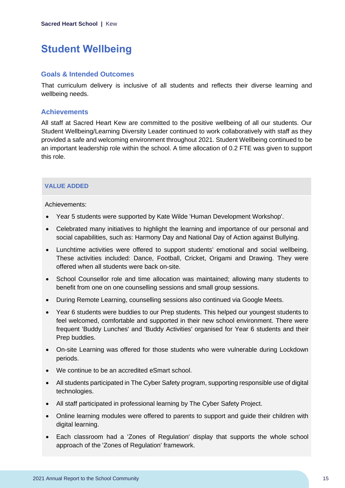# <span id="page-15-0"></span>**Student Wellbeing**

#### **Goals & Intended Outcomes**

That curriculum delivery is inclusive of all students and reflects their diverse learning and wellbeing needs.

#### **Achievements**

All staff at Sacred Heart Kew are committed to the positive wellbeing of all our students. Our Student Wellbeing/Learning Diversity Leader continued to work collaboratively with staff as they provided a safe and welcoming environment throughout 2021. Student Wellbeing continued to be an important leadership role within the school. A time allocation of 0.2 FTE was given to support this role.

#### **VALUE ADDED**

Achievements:

- Year 5 students were supported by Kate Wilde 'Human Development Workshop'.
- Celebrated many initiatives to highlight the learning and importance of our personal and social capabilities, such as: Harmony Day and National Day of Action against Bullying.
- Lunchtime activities were offered to support students' emotional and social wellbeing. These activities included: Dance, Football, Cricket, Origami and Drawing. They were offered when all students were back on-site.
- School Counsellor role and time allocation was maintained; allowing many students to benefit from one on one counselling sessions and small group sessions.
- During Remote Learning, counselling sessions also continued via Google Meets.
- Year 6 students were buddies to our Prep students. This helped our youngest students to feel welcomed, comfortable and supported in their new school environment. There were frequent 'Buddy Lunches' and 'Buddy Activities' organised for Year 6 students and their Prep buddies.
- On-site Learning was offered for those students who were vulnerable during Lockdown periods.
- We continue to be an accredited eSmart school.
- All students participated in The Cyber Safety program, supporting responsible use of digital technologies.
- All staff participated in professional learning by The Cyber Safety Project.
- Online learning modules were offered to parents to support and guide their children with digital learning.
- Each classroom had a 'Zones of Regulation' display that supports the whole school approach of the 'Zones of Regulation' framework.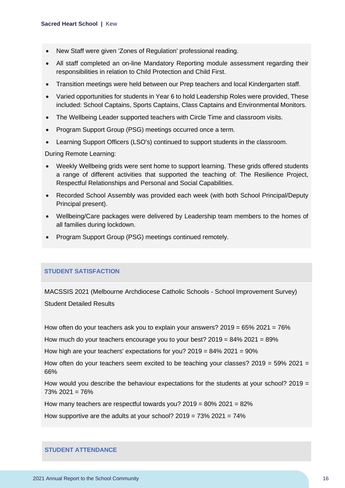- New Staff were given 'Zones of Regulation' professional reading.
- All staff completed an on-line Mandatory Reporting module assessment regarding their responsibilities in relation to Child Protection and Child First.
- Transition meetings were held between our Prep teachers and local Kindergarten staff.
- Varied opportunities for students in Year 6 to hold Leadership Roles were provided, These included: School Captains, Sports Captains, Class Captains and Environmental Monitors.
- The Wellbeing Leader supported teachers with Circle Time and classroom visits.
- Program Support Group (PSG) meetings occurred once a term.
- Learning Support Officers (LSO's) continued to support students in the classroom.

During Remote Learning:

- Weekly Wellbeing grids were sent home to support learning. These grids offered students a range of different activities that supported the teaching of: The Resilience Project, Respectful Relationships and Personal and Social Capabilities.
- Recorded School Assembly was provided each week (with both School Principal/Deputy Principal present).
- Wellbeing/Care packages were delivered by Leadership team members to the homes of all families during lockdown.
- Program Support Group (PSG) meetings continued remotely.

#### **STUDENT SATISFACTION**

MACSSIS 2021 (Melbourne Archdiocese Catholic Schools - School Improvement Survey) Student Detailed Results

How often do your teachers ask you to explain your answers?  $2019 = 65\%$  2021 = 76%

How much do your teachers encourage you to your best?  $2019 = 84\%$  2021 = 89%

How high are your teachers' expectations for you? 2019 = 84% 2021 = 90%

How often do your teachers seem excited to be teaching your classes?  $2019 = 59\% 2021 =$ 66%

How would you describe the behaviour expectations for the students at your school? 2019  $=$ 73% 2021 = 76%

How many teachers are respectful towards you? 2019 = 80% 2021 = 82%

How supportive are the adults at your school?  $2019 = 73\%$   $2021 = 74\%$ 

#### **STUDENT ATTENDANCE**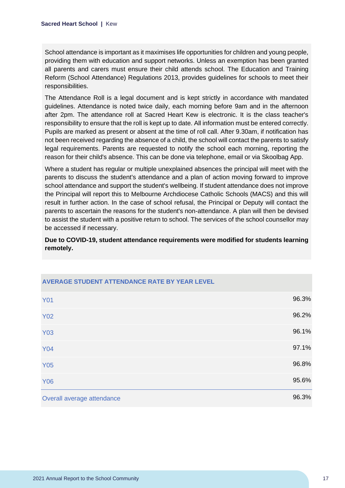School attendance is important as it maximises life opportunities for children and young people, providing them with education and support networks. Unless an exemption has been granted all parents and carers must ensure their child attends school. The Education and Training Reform (School Attendance) Regulations 2013, provides guidelines for schools to meet their responsibilities.

The Attendance Roll is a legal document and is kept strictly in accordance with mandated guidelines. Attendance is noted twice daily, each morning before 9am and in the afternoon after 2pm. The attendance roll at Sacred Heart Kew is electronic. It is the class teacher's responsibility to ensure that the roll is kept up to date. All information must be entered correctly. Pupils are marked as present or absent at the time of roll call. After 9.30am, if notification has not been received regarding the absence of a child, the school will contact the parents to satisfy legal requirements. Parents are requested to notify the school each morning, reporting the reason for their child's absence. This can be done via telephone, email or via Skoolbag App.

Where a student has regular or multiple unexplained absences the principal will meet with the parents to discuss the student's attendance and a plan of action moving forward to improve school attendance and support the student's wellbeing. If student attendance does not improve the Principal will report this to Melbourne Archdiocese Catholic Schools (MACS) and this will result in further action. In the case of school refusal, the Principal or Deputy will contact the parents to ascertain the reasons for the student's non-attendance. A plan will then be devised to assist the student with a positive return to school. The services of the school counsellor may be accessed if necessary.

**Due to COVID-19, student attendance requirements were modified for students learning remotely.**

| <b>Y01</b>                 | 96.3% |
|----------------------------|-------|
| <b>Y02</b>                 | 96.2% |
| <b>Y03</b>                 | 96.1% |
| <b>Y04</b>                 | 97.1% |
| <b>Y05</b>                 | 96.8% |
| <b>Y06</b>                 | 95.6% |
| Overall average attendance | 96.3% |

# **AVERAGE STUDENT ATTENDANCE RATE BY YEAR LEVEL**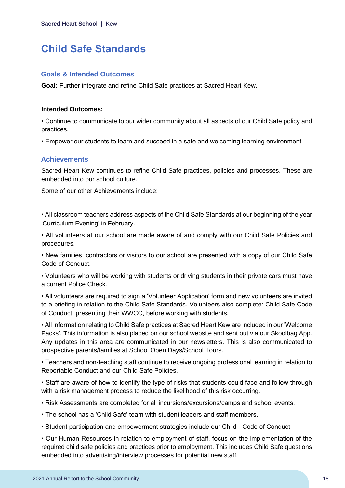## <span id="page-18-0"></span>**Child Safe Standards**

#### **Goals & Intended Outcomes**

**Goal:** Further integrate and refine Child Safe practices at Sacred Heart Kew.

#### **Intended Outcomes:**

• Continue to communicate to our wider community about all aspects of our Child Safe policy and practices.

• Empower our students to learn and succeed in a safe and welcoming learning environment.

#### **Achievements**

Sacred Heart Kew continues to refine Child Safe practices, policies and processes. These are embedded into our school culture.

Some of our other Achievements include:

• All classroom teachers address aspects of the Child Safe Standards at our beginning of the year 'Curriculum Evening' in February.

• All volunteers at our school are made aware of and comply with our Child Safe Policies and procedures.

• New families, contractors or visitors to our school are presented with a copy of our Child Safe Code of Conduct.

• Volunteers who will be working with students or driving students in their private cars must have a current Police Check.

• All volunteers are required to sign a 'Volunteer Application' form and new volunteers are invited to a briefing in relation to the Child Safe Standards. Volunteers also complete: Child Safe Code of Conduct, presenting their WWCC, before working with students.

• All information relating to Child Safe practices at Sacred Heart Kew are included in our 'Welcome Packs'. This information is also placed on our school website and sent out via our Skoolbag App. Any updates in this area are communicated in our newsletters. This is also communicated to prospective parents/families at School Open Days/School Tours.

• Teachers and non-teaching staff continue to receive ongoing professional learning in relation to Reportable Conduct and our Child Safe Policies.

• Staff are aware of how to identify the type of risks that students could face and follow through with a risk management process to reduce the likelihood of this risk occurring.

- Risk Assessments are completed for all incursions/excursions/camps and school events.
- The school has a 'Child Safe' team with student leaders and staff members.
- Student participation and empowerment strategies include our Child Code of Conduct.

• Our Human Resources in relation to employment of staff, focus on the implementation of the required child safe policies and practices prior to employment. This includes Child Safe questions embedded into advertising/interview processes for potential new staff.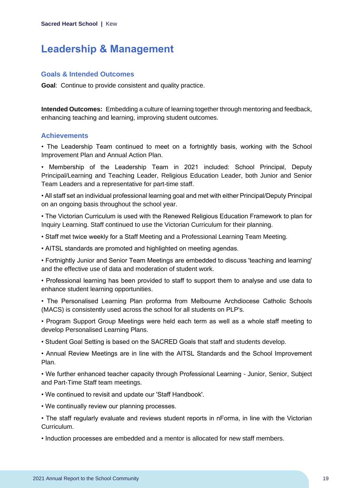### <span id="page-19-0"></span>**Leadership & Management**

#### **Goals & Intended Outcomes**

**Goal**: Continue to provide consistent and quality practice.

**Intended Outcomes:** Embedding a culture of learning together through mentoring and feedback, enhancing teaching and learning, improving student outcomes.

### **Achievements**

• The Leadership Team continued to meet on a fortnightly basis, working with the School Improvement Plan and Annual Action Plan.

• Membership of the Leadership Team in 2021 included: School Principal, Deputy Principal/Learning and Teaching Leader, Religious Education Leader, both Junior and Senior Team Leaders and a representative for part-time staff.

• All staff set an individual professional learning goal and met with either Principal/Deputy Principal on an ongoing basis throughout the school year.

• The Victorian Curriculum is used with the Renewed Religious Education Framework to plan for Inquiry Learning. Staff continued to use the Victorian Curriculum for their planning.

• Staff met twice weekly for a Staff Meeting and a Professional Learning Team Meeting.

• AITSL standards are promoted and highlighted on meeting agendas.

• Fortnightly Junior and Senior Team Meetings are embedded to discuss 'teaching and learning' and the effective use of data and moderation of student work.

• Professional learning has been provided to staff to support them to analyse and use data to enhance student learning opportunities.

• The Personalised Learning Plan proforma from Melbourne Archdiocese Catholic Schools (MACS) is consistently used across the school for all students on PLP's.

• Program Support Group Meetings were held each term as well as a whole staff meeting to develop Personalised Learning Plans.

• Student Goal Setting is based on the SACRED Goals that staff and students develop.

• Annual Review Meetings are in line with the AITSL Standards and the School Improvement Plan.

• We further enhanced teacher capacity through Professional Learning - Junior, Senior, Subject and Part-Time Staff team meetings.

- We continued to revisit and update our 'Staff Handbook'.
- We continually review our planning processes.
- The staff regularly evaluate and reviews student reports in nForma, in line with the Victorian Curriculum.

• Induction processes are embedded and a mentor is allocated for new staff members.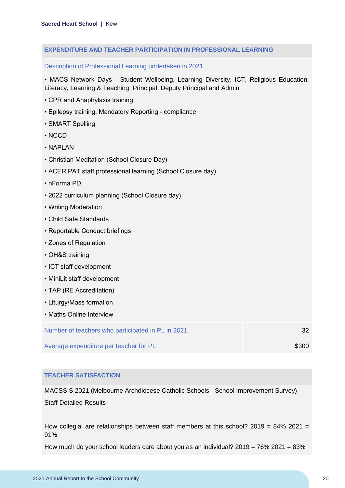#### **EXPENDITURE AND TEACHER PARTICIPATION IN PROFESSIONAL LEARNING**

Description of Professional Learning undertaken in 2021

• MACS Network Days - Student Wellbeing, Learning Diversity, ICT, Religious Education, Literacy, Learning & Teaching, Principal, Deputy Principal and Admin

- CPR and Anaphylaxis training
- Epilepsy training; Mandatory Reporting compliance
- SMART Spelling
- NCCD
- NAPLAN
- Christian Meditation (School Closure Day)
- ACER PAT staff professional learning (School Closure day)
- nForma PD
- 2022 curriculum planning (School Closure day)
- Writing Moderation
- Child Safe Standards
- Reportable Conduct briefings
- Zones of Regulation
- OH&S training
- ICT staff development
- MiniLit staff development
- TAP (RE Accreditation)
- Liturgy/Mass formation
- Maths Online Interview

| Number of teachers who participated in PL in 2021 |       |
|---------------------------------------------------|-------|
| Average expenditure per teacher for PL            | \$300 |

#### **TEACHER SATISFACTION**

MACSSIS 2021 (Melbourne Archdiocese Catholic Schools - School Improvement Survey)

Staff Detailed Results

How collegial are relationships between staff members at this school?  $2019 = 84\%$  2021 = 91%

How much do your school leaders care about you as an individual?  $2019 = 76\% 2021 = 83\%$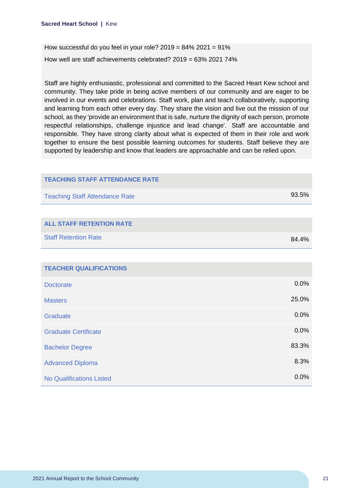How successful do you feel in your role?  $2019 = 84\%$   $2021 = 91\%$ How well are staff achievements celebrated? 2019 = 63% 2021 74%

Staff are highly enthusiastic, professional and committed to the Sacred Heart Kew school and community. They take pride in being active members of our community and are eager to be involved in our events and celebrations. Staff work, plan and teach collaboratively, supporting and learning from each other every day. They share the vision and live out the mission of our school, as they 'provide an environment that is safe, nurture the dignity of each person, promote respectful relationships, challenge injustice and lead change'. Staff are accountable and responsible. They have strong clarity about what is expected of them in their role and work together to ensure the best possible learning outcomes for students. Staff believe they are supported by leadership and know that leaders are approachable and can be relied upon.

| <b>TEACHING STAFF ATTENDANCE RATE</b> |       |
|---------------------------------------|-------|
| <b>Teaching Staff Attendance Rate</b> | 93.5% |
|                                       |       |
| <b>ALL STAFF RETENTION RATE</b>       |       |
| <b>Staff Retention Rate</b>           | 84.4% |
|                                       |       |
| <b>TEACHER QUALIFICATIONS</b>         |       |
| <b>Doctorate</b>                      | 0.0%  |
| <b>Masters</b>                        | 25.0% |
| Graduate                              | 0.0%  |
| <b>Graduate Certificate</b>           | 0.0%  |
| <b>Bachelor Degree</b>                | 83.3% |
| <b>Advanced Diploma</b>               | 8.3%  |
| <b>No Qualifications Listed</b>       | 0.0%  |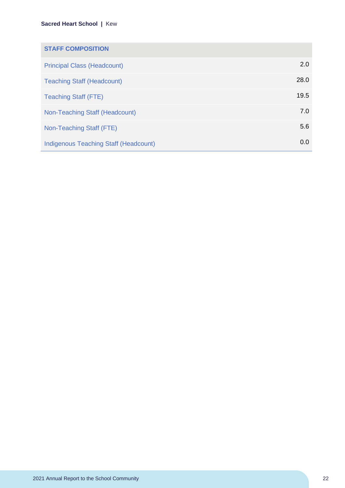| <b>STAFF COMPOSITION</b>                     |      |
|----------------------------------------------|------|
| <b>Principal Class (Headcount)</b>           | 2.0  |
| <b>Teaching Staff (Headcount)</b>            | 28.0 |
| <b>Teaching Staff (FTE)</b>                  | 19.5 |
| Non-Teaching Staff (Headcount)               | 7.0  |
| Non-Teaching Staff (FTE)                     | 5.6  |
| <b>Indigenous Teaching Staff (Headcount)</b> | 0.0  |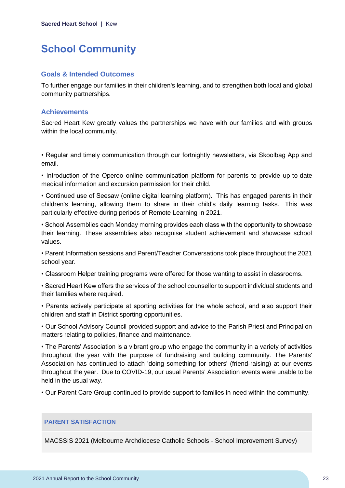## <span id="page-23-0"></span>**School Community**

#### **Goals & Intended Outcomes**

To further engage our families in their children's learning, and to strengthen both local and global community partnerships.

#### **Achievements**

Sacred Heart Kew greatly values the partnerships we have with our families and with groups within the local community.

• Regular and timely communication through our fortnightly newsletters, via Skoolbag App and email.

• Introduction of the Operoo online communication platform for parents to provide up-to-date medical information and excursion permission for their child.

• Continued use of Seesaw (online digital learning platform). This has engaged parents in their children's learning, allowing them to share in their child's daily learning tasks. This was particularly effective during periods of Remote Learning in 2021.

• School Assemblies each Monday morning provides each class with the opportunity to showcase their learning. These assemblies also recognise student achievement and showcase school values.

• Parent Information sessions and Parent/Teacher Conversations took place throughout the 2021 school year.

• Classroom Helper training programs were offered for those wanting to assist in classrooms.

• Sacred Heart Kew offers the services of the school counsellor to support individual students and their families where required.

• Parents actively participate at sporting activities for the whole school, and also support their children and staff in District sporting opportunities.

• Our School Advisory Council provided support and advice to the Parish Priest and Principal on matters relating to policies, finance and maintenance.

• The Parents' Association is a vibrant group who engage the community in a variety of activities throughout the year with the purpose of fundraising and building community. The Parents' Association has continued to attach 'doing something for others' (friend-raising) at our events throughout the year. Due to COVID-19, our usual Parents' Association events were unable to be held in the usual way.

• Our Parent Care Group continued to provide support to families in need within the community.

#### **PARENT SATISFACTION**

MACSSIS 2021 (Melbourne Archdiocese Catholic Schools - School Improvement Survey)